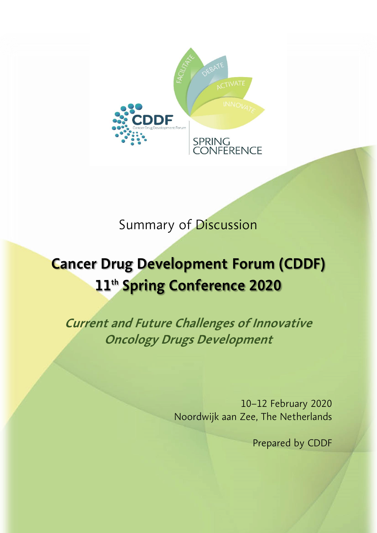

# Summary of Discussion

# **Cancer Drug Development Forum (CDDF) 11 th Spring Conference 2020**

**Current and Future Challenges of Innovative Oncology Drugs Development**

> 10–12 February 2020 Noordwijk aan Zee, The Netherlands

> > Prepared by CDDF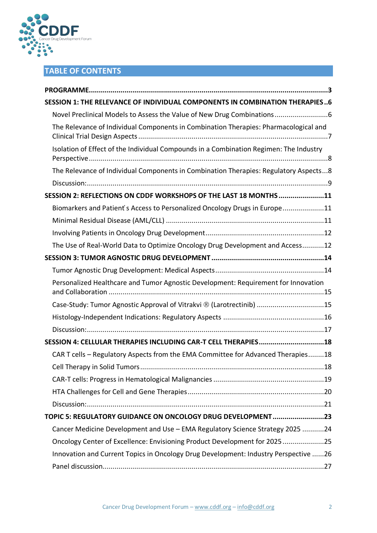

# **TABLE OF CONTENTS**

| <b>SESSION 1: THE RELEVANCE OF INDIVIDUAL COMPONENTS IN COMBINATION THERAPIES6</b>     |
|----------------------------------------------------------------------------------------|
| Novel Preclinical Models to Assess the Value of New Drug Combinations                  |
| The Relevance of Individual Components in Combination Therapies: Pharmacological and   |
| Isolation of Effect of the Individual Compounds in a Combination Regimen: The Industry |
| The Relevance of Individual Components in Combination Therapies: Regulatory Aspects8   |
|                                                                                        |
| SESSION 2: REFLECTIONS ON CDDF WORKSHOPS OF THE LAST 18 MONTHS 11                      |
| Biomarkers and Patient's Access to Personalized Oncology Drugs in Europe11             |
|                                                                                        |
|                                                                                        |
| The Use of Real-World Data to Optimize Oncology Drug Development and Access12          |
|                                                                                        |
|                                                                                        |
| Personalized Healthcare and Tumor Agnostic Development: Requirement for Innovation     |
| Case-Study: Tumor Agnostic Approval of Vitrakvi ® (Larotrectinib) 15                   |
|                                                                                        |
|                                                                                        |
| SESSION 4: CELLULAR THERAPIES INCLUDING CAR-T CELL THERAPIES18                         |
| CAR T cells - Regulatory Aspects from the EMA Committee for Advanced Therapies18       |
|                                                                                        |
|                                                                                        |
|                                                                                        |
|                                                                                        |
| TOPIC 5: REGULATORY GUIDANCE ON ONCOLOGY DRUG DEVELOPMENT23                            |
| Cancer Medicine Development and Use - EMA Regulatory Science Strategy 2025 24          |
| Oncology Center of Excellence: Envisioning Product Development for 202525              |
| Innovation and Current Topics in Oncology Drug Development: Industry Perspective 26    |
|                                                                                        |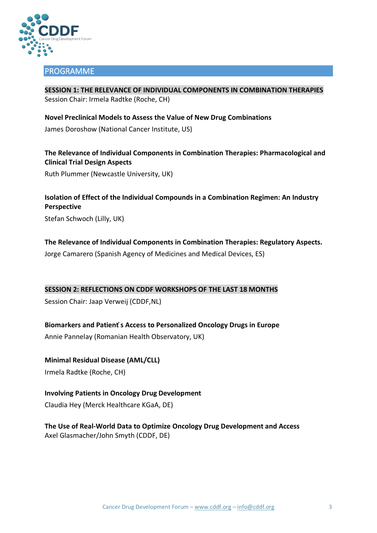

#### <span id="page-2-0"></span>PROGRAMME

**SESSION 1: THE RELEVANCE OF INDIVIDUAL COMPONENTS IN COMBINATION THERAPIES** Session Chair: Irmela Radtke (Roche, CH)

**Novel Preclinical Models to Assess the Value of New Drug Combinations**  James Doroshow (National Cancer Institute, US)

**The Relevance of Individual Components in Combination Therapies: Pharmacological and Clinical Trial Design Aspects**

Ruth Plummer (Newcastle University, UK)

**Isolation of Effect of the Individual Compounds in a Combination Regimen: An Industry Perspective** Stefan Schwoch (Lilly, UK)

**The Relevance of Individual Components in Combination Therapies: Regulatory Aspects.**

Jorge Camarero (Spanish Agency of Medicines and Medical Devices, ES)

**SESSION 2: REFLECTIONS ON CDDF WORKSHOPS OF THE LAST 18 MONTHS**

Session Chair: Jaap Verweij (CDDF,NL)

**Biomarkers and Patient ́s Access to Personalized Oncology Drugs in Europe** 

Annie Pannelay (Romanian Health Observatory, UK)

**Minimal Residual Disease (AML/CLL)**  Irmela Radtke (Roche, CH)

**Involving Patients in Oncology Drug Development** 

Claudia Hey (Merck Healthcare KGaA, DE)

**The Use of Real-World Data to Optimize Oncology Drug Development and Access** Axel Glasmacher/John Smyth (CDDF, DE)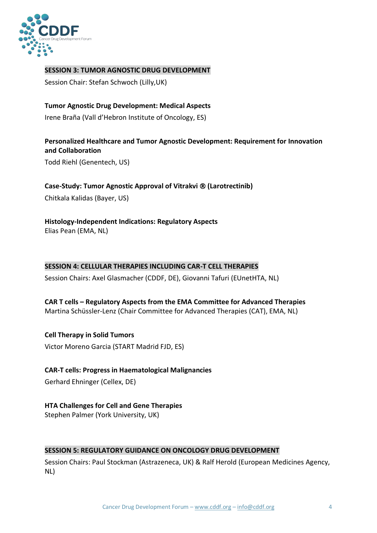

#### **SESSION 3: TUMOR AGNOSTIC DRUG DEVELOPMENT**

Session Chair: Stefan Schwoch (Lilly,UK)

#### **Tumor Agnostic Drug Development: Medical Aspects**

Irene Braña (Vall d'Hebron Institute of Oncology, ES)

#### **Personalized Healthcare and Tumor Agnostic Development: Requirement for Innovation and Collaboration**

Todd Riehl (Genentech, US)

#### **Case-Study: Tumor Agnostic Approval of Vitrakvi (Larotrectinib)**

Chitkala Kalidas (Bayer, US)

#### **Histology-Independent Indications: Regulatory Aspects**

Elias Pean (EMA, NL)

#### **SESSION 4: CELLULAR THERAPIES INCLUDING CAR-T CELL THERAPIES**

Session Chairs: Axel Glasmacher (CDDF, DE), Giovanni Tafuri (EUnetHTA, NL)

# **CAR T cells – Regulatory Aspects from the EMA Committee for Advanced Therapies**

Martina Schüssler-Lenz (Chair Committee for Advanced Therapies (CAT), EMA, NL)

# **Cell Therapy in Solid Tumors**

Victor Moreno Garcia (START Madrid FJD, ES)

#### **CAR-T cells: Progress in Haematological Malignancies**

Gerhard Ehninger (Cellex, DE)

#### **HTA Challenges for Cell and Gene Therapies**

Stephen Palmer (York University, UK)

#### **SESSION 5: REGULATORY GUIDANCE ON ONCOLOGY DRUG DEVELOPMENT**

Session Chairs: Paul Stockman (Astrazeneca, UK) & Ralf Herold (European Medicines Agency, NL)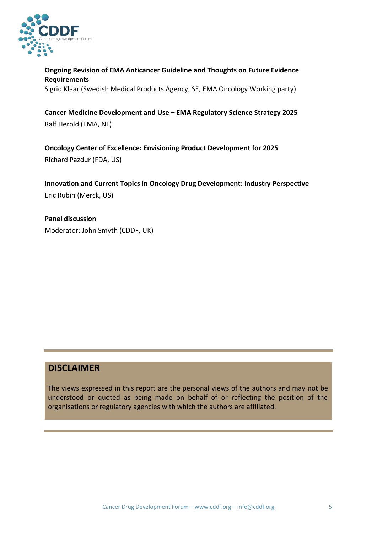

**Ongoing Revision of EMA Anticancer Guideline and Thoughts on Future Evidence Requirements** Sigrid Klaar (Swedish Medical Products Agency, SE, EMA Oncology Working party)

**Cancer Medicine Development and Use – EMA Regulatory Science Strategy 2025** Ralf Herold (EMA, NL)

**Oncology Center of Excellence: Envisioning Product Development for 2025** Richard Pazdur (FDA, US)

**Innovation and Current Topics in Oncology Drug Development: Industry Perspective** Eric Rubin (Merck, US)

**Panel discussion** Moderator: John Smyth (CDDF, UK)

# **DISCLAIMER**

The views expressed in this report are the personal views of the authors and may not be understood or quoted as being made on behalf of or reflecting the position of the organisations or regulatory agencies with which the authors are affiliated.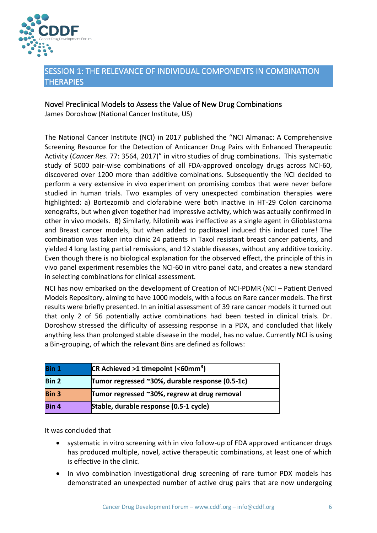

#### <span id="page-5-0"></span>SESSION 1: THE RELEVANCE OF INDIVIDUAL COMPONENTS IN COMBINATION **THERAPIES**

#### <span id="page-5-1"></span>Novel Preclinical Models to Assess the Value of New Drug Combinations

James Doroshow (National Cancer Institute, US)

The National Cancer Institute (NCI) in 2017 published the "NCI Almanac: A Comprehensive Screening Resource for the Detection of Anticancer Drug Pairs with Enhanced Therapeutic Activity (*Cancer Res*. 77: 3564, 2017)" in vitro studies of drug combinations. This systematic study of 5000 pair-wise combinations of all FDA-approved oncology drugs across NCI-60, discovered over 1200 more than additive combinations. Subsequently the NCI decided to perform a very extensive in vivo experiment on promising combos that were never before studied in human trials. Two examples of very unexpected combination therapies were highlighted: a) Bortezomib and clofarabine were both inactive in HT-29 Colon carcinoma xenografts, but when given together had impressive activity, which was actually confirmed in other in vivo models. B) Similarly, Nilotinib was ineffective as a single agent in Glioblastoma and Breast cancer models, but when added to paclitaxel induced this induced cure! The combination was taken into clinic 24 patients in Taxol resistant breast cancer patients, and yielded 4 long lasting partial remissions, and 12 stable diseases, without any additive toxicity. Even though there is no biological explanation for the observed effect, the principle of this in vivo panel experiment resembles the NCI-60 in vitro panel data, and creates a new standard in selecting combinations for clinical assessment.

NCI has now embarked on the development of Creation of NCI-PDMR (NCI – Patient Derived Models Repository, aiming to have 1000 models, with a focus on Rare cancer models. The first results were briefly presented. In an initial assessment of 39 rare cancer models it turned out that only 2 of 56 potentially active combinations had been tested in clinical trials. Dr. Doroshow stressed the difficulty of assessing response in a PDX, and concluded that likely anything less than prolonged stable disease in the model, has no value. Currently NCI is using a Bin-grouping, of which the relevant Bins are defined as follows:

| Bin 1        | $CR$ Achieved >1 timepoint (<60mm <sup>3</sup> ) |
|--------------|--------------------------------------------------|
| <b>Bin 2</b> | Tumor regressed ~30%, durable response (0.5-1c)  |
| <b>Bin 3</b> | Tumor regressed ~30%, regrew at drug removal     |
| Bin 4        | Stable, durable response (0.5-1 cycle)           |

It was concluded that

- systematic in vitro screening with in vivo follow-up of FDA approved anticancer drugs has produced multiple, novel, active therapeutic combinations, at least one of which is effective in the clinic.
- In vivo combination investigational drug screening of rare tumor PDX models has demonstrated an unexpected number of active drug pairs that are now undergoing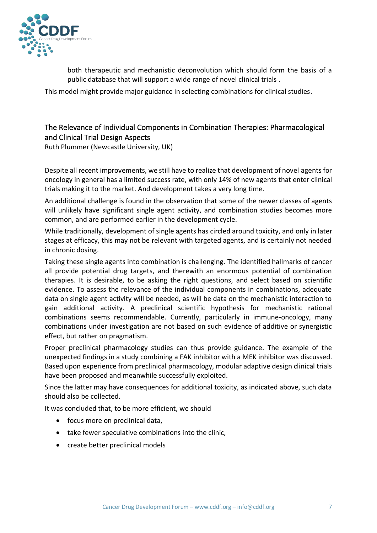

both therapeutic and mechanistic deconvolution which should form the basis of a public database that will support a wide range of novel clinical trials .

This model might provide major guidance in selecting combinations for clinical studies.

#### <span id="page-6-0"></span>The Relevance of Individual Components in Combination Therapies: Pharmacological and Clinical Trial Design Aspects

Ruth Plummer (Newcastle University, UK)

Despite all recent improvements, we still have to realize that development of novel agents for oncology in general has a limited success rate, with only 14% of new agents that enter clinical trials making it to the market. And development takes a very long time.

An additional challenge is found in the observation that some of the newer classes of agents will unlikely have significant single agent activity, and combination studies becomes more common, and are performed earlier in the development cycle.

While traditionally, development of single agents has circled around toxicity, and only in later stages at efficacy, this may not be relevant with targeted agents, and is certainly not needed in chronic dosing.

Taking these single agents into combination is challenging. The identified hallmarks of cancer all provide potential drug targets, and therewith an enormous potential of combination therapies. It is desirable, to be asking the right questions, and select based on scientific evidence. To assess the relevance of the individual components in combinations, adequate data on single agent activity will be needed, as will be data on the mechanistic interaction to gain additional activity. A preclinical scientific hypothesis for mechanistic rational combinations seems recommendable. Currently, particularly in immune-oncology, many combinations under investigation are not based on such evidence of additive or synergistic effect, but rather on pragmatism.

Proper preclinical pharmacology studies can thus provide guidance. The example of the unexpected findings in a study combining a FAK inhibitor with a MEK inhibitor was discussed. Based upon experience from preclinical pharmacology, modular adaptive design clinical trials have been proposed and meanwhile successfully exploited.

Since the latter may have consequences for additional toxicity, as indicated above, such data should also be collected.

It was concluded that, to be more efficient, we should

- focus more on preclinical data,
- take fewer speculative combinations into the clinic,
- create better preclinical models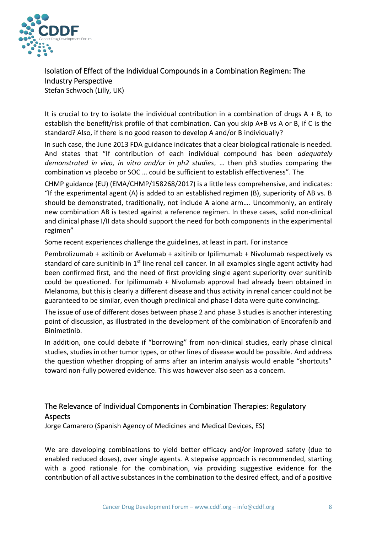

## <span id="page-7-0"></span>Isolation of Effect of the Individual Compounds in a Combination Regimen: The Industry Perspective

Stefan Schwoch (Lilly, UK)

It is crucial to try to isolate the individual contribution in a combination of drugs  $A + B$ , to establish the benefit/risk profile of that combination. Can you skip A+B vs A or B, if C is the standard? Also, if there is no good reason to develop A and/or B individually?

In such case, the June 2013 FDA guidance indicates that a clear biological rationale is needed. And states that "If contribution of each individual compound has been *adequately demonstrated in vivo, in vitro and/or in ph2 studies*, … then ph3 studies comparing the combination vs placebo or SOC … could be sufficient to establish effectiveness". The

CHMP guidance (EU) (EMA/CHMP/158268/2017) is a little less comprehensive, and indicates: "If the experimental agent  $(A)$  is added to an established regimen  $(B)$ , superiority of AB vs. B should be demonstrated, traditionally, not include A alone arm…. Uncommonly, an entirely new combination AB is tested against a reference regimen. In these cases, solid non-clinical and clinical phase I/II data should support the need for both components in the experimental regimen"

Some recent experiences challenge the guidelines, at least in part. For instance

Pembrolizumab + axitinib or Avelumab + axitinib or Ipilimumab + Nivolumab respectively vs standard of care sunitinib in  $1<sup>st</sup>$  line renal cell cancer. In all examples single agent activity had been confirmed first, and the need of first providing single agent superiority over sunitinib could be questioned. For Ipilimumab + Nivolumab approval had already been obtained in Melanoma, but this is clearly a different disease and thus activity in renal cancer could not be guaranteed to be similar, even though preclinical and phase I data were quite convincing.

The issue of use of different doses between phase 2 and phase 3 studies is another interesting point of discussion, as illustrated in the development of the combination of Encorafenib and Binimetinib.

In addition, one could debate if "borrowing" from non-clinical studies, early phase clinical studies, studies in other tumor types, or other lines of disease would be possible. And address the question whether dropping of arms after an interim analysis would enable "shortcuts" toward non-fully powered evidence. This was however also seen as a concern.

## <span id="page-7-1"></span>The Relevance of Individual Components in Combination Therapies: Regulatory Aspects

Jorge Camarero (Spanish Agency of Medicines and Medical Devices, ES)

We are developing combinations to yield better efficacy and/or improved safety (due to enabled reduced doses), over single agents. A stepwise approach is recommended, starting with a good rationale for the combination, via providing suggestive evidence for the contribution of all active substances in the combination to the desired effect, and of a positive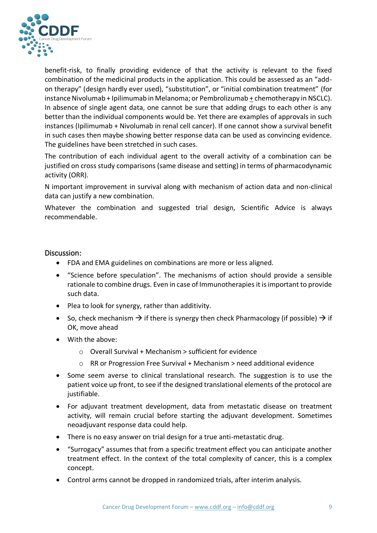

benefit-risk, to finally providing evidence of that the activity is relevant to the fixed combination of the medicinal products in the application. This could be assessed as an "addon therapy" (design hardly ever used), "substitution", or "initial combination treatment" (for instance Nivolumab + Ipilimumab in Melanoma; or Pembrolizumab + chemotherapy in NSCLC). In absence of single agent data, one cannot be sure that adding drugs to each other is any better than the individual components would be. Yet there are examples of approvals in such instances (Ipilimumab + Nivolumab in renal cell cancer). If one cannot show a survival benefit in such cases then maybe showing better response data can be used as convincing evidence. The guidelines have been stretched in such cases.

The contribution of each individual agent to the overall activity of a combination can be justified on cross study comparisons (same disease and setting) in terms of pharmacodynamic activity (ORR).

N important improvement in survival along with mechanism of action data and non-clinical data can justify a new combination.

Whatever the combination and suggested trial design, Scientific Advice is always recommendable.

#### <span id="page-8-0"></span>Discussion:

- FDA and EMA guidelines on combinations are more or less aligned.
- "Science before speculation". The mechanisms of action should provide a sensible rationale to combine drugs. Even in case of Immunotherapies it is important to provide such data.
- Plea to look for synergy, rather than additivity.
- So, check mechanism  $\rightarrow$  if there is synergy then check Pharmacology (if possible)  $\rightarrow$  if OK, move ahead
- With the above:
	- o Overall Survival + Mechanism > sufficient for evidence
	- o RR or Progression Free Survival + Mechanism > need additional evidence
- Some seem averse to clinical translational research. The suggestion is to use the patient voice up front, to see if the designed translational elements of the protocol are justifiable.
- For adjuvant treatment development, data from metastatic disease on treatment activity, will remain crucial before starting the adjuvant development. Sometimes neoadjuvant response data could help.
- There is no easy answer on trial design for a true anti-metastatic drug.
- "Surrogacy" assumes that from a specific treatment effect you can anticipate another treatment effect. In the context of the total complexity of cancer, this is a complex concept.
- Control arms cannot be dropped in randomized trials, after interim analysis.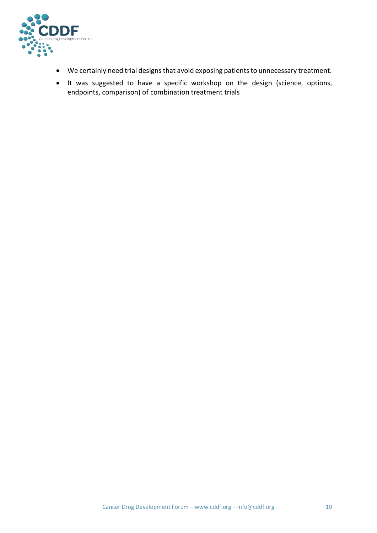

- We certainly need trial designs that avoid exposing patients to unnecessary treatment.
- It was suggested to have a specific workshop on the design (science, options, endpoints, comparison) of combination treatment trials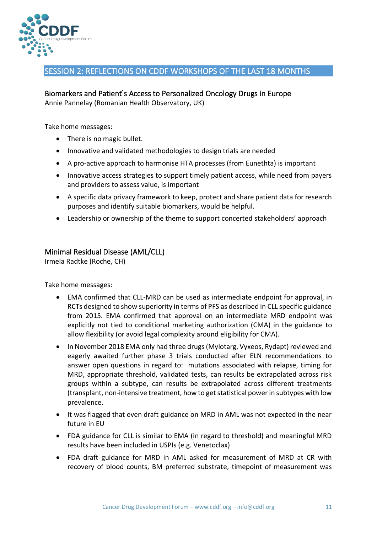

#### <span id="page-10-0"></span>SESSION 2: REFLECTIONS ON CDDF WORKSHOPS OF THE LAST 18 MONTHS

#### <span id="page-10-1"></span>Biomarkers and Patient's Access to Personalized Oncology Drugs in Europe Annie Pannelay (Romanian Health Observatory, UK)

Take home messages:

- There is no magic bullet.
- Innovative and validated methodologies to design trials are needed
- A pro-active approach to harmonise HTA processes (from Eunethta) is important
- Innovative access strategies to support timely patient access, while need from payers and providers to assess value, is important
- A specific data privacy framework to keep, protect and share patient data for research purposes and identify suitable biomarkers, would be helpful.
- Leadership or ownership of the theme to support concerted stakeholders' approach

#### <span id="page-10-2"></span>Minimal Residual Disease (AML/CLL)

Irmela Radtke (Roche, CH)

Take home messages:

- EMA confirmed that CLL-MRD can be used as intermediate endpoint for approval, in RCTs designed to show superiority in terms of PFS as described in CLL specific guidance from 2015. EMA confirmed that approval on an intermediate MRD endpoint was explicitly not tied to conditional marketing authorization (CMA) in the guidance to allow flexibility (or avoid legal complexity around eligibility for CMA).
- In November 2018 EMA only had three drugs (Mylotarg, Vyxeos, Rydapt) reviewed and eagerly awaited further phase 3 trials conducted after ELN recommendations to answer open questions in regard to: mutations associated with relapse, timing for MRD, appropriate threshold, validated tests, can results be extrapolated across risk groups within a subtype, can results be extrapolated across different treatments (transplant, non-intensive treatment, how to get statistical power in subtypes with low prevalence.
- It was flagged that even draft guidance on MRD in AML was not expected in the near future in EU
- FDA guidance for CLL is similar to EMA (in regard to threshold) and meaningful MRD results have been included in USPIs (e.g. Venetoclax)
- FDA draft guidance for MRD in AML asked for measurement of MRD at CR with recovery of blood counts, BM preferred substrate, timepoint of measurement was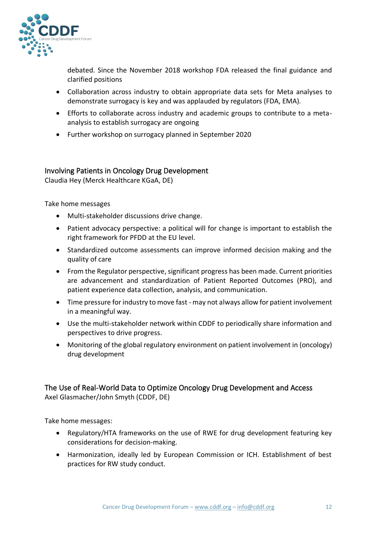

debated. Since the November 2018 workshop FDA released the final guidance and clarified positions

- Collaboration across industry to obtain appropriate data sets for Meta analyses to demonstrate surrogacy is key and was applauded by regulators (FDA, EMA).
- Efforts to collaborate across industry and academic groups to contribute to a metaanalysis to establish surrogacy are ongoing
- Further workshop on surrogacy planned in September 2020

#### <span id="page-11-0"></span>Involving Patients in Oncology Drug Development

Claudia Hey (Merck Healthcare KGaA, DE)

Take home messages

- Multi-stakeholder discussions drive change.
- Patient advocacy perspective: a political will for change is important to establish the right framework for PFDD at the EU level.
- Standardized outcome assessments can improve informed decision making and the quality of care
- From the Regulator perspective, significant progress has been made. Current priorities are advancement and standardization of Patient Reported Outcomes (PRO), and patient experience data collection, analysis, and communication.
- Time pressure for industry to move fast may not always allow for patient involvement in a meaningful way.
- Use the multi-stakeholder network within CDDF to periodically share information and perspectives to drive progress.
- Monitoring of the global regulatory environment on patient involvement in (oncology) drug development

#### <span id="page-11-1"></span>The Use of Real-World Data to Optimize Oncology Drug Development and Access Axel Glasmacher/John Smyth (CDDF, DE)

Take home messages:

- Regulatory/HTA frameworks on the use of RWE for drug development featuring key considerations for decision-making.
- Harmonization, ideally led by European Commission or ICH. Establishment of best practices for RW study conduct.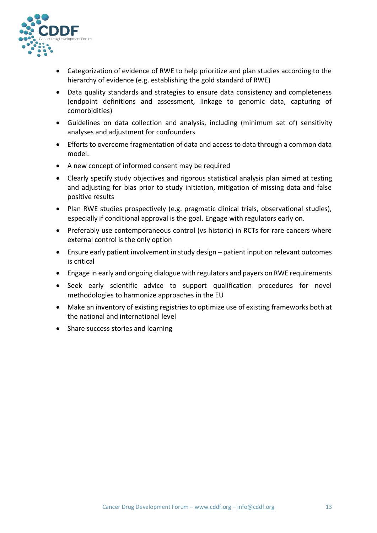

- Categorization of evidence of RWE to help prioritize and plan studies according to the hierarchy of evidence (e.g. establishing the gold standard of RWE)
- Data quality standards and strategies to ensure data consistency and completeness (endpoint definitions and assessment, linkage to genomic data, capturing of comorbidities)
- Guidelines on data collection and analysis, including (minimum set of) sensitivity analyses and adjustment for confounders
- Efforts to overcome fragmentation of data and access to data through a common data model.
- A new concept of informed consent may be required
- Clearly specify study objectives and rigorous statistical analysis plan aimed at testing and adjusting for bias prior to study initiation, mitigation of missing data and false positive results
- Plan RWE studies prospectively (e.g. pragmatic clinical trials, observational studies), especially if conditional approval is the goal. Engage with regulators early on.
- Preferably use contemporaneous control (vs historic) in RCTs for rare cancers where external control is the only option
- Ensure early patient involvement in study design patient input on relevant outcomes is critical
- Engage in early and ongoing dialogue with regulators and payers on RWE requirements
- Seek early scientific advice to support qualification procedures for novel methodologies to harmonize approaches in the EU
- Make an inventory of existing registries to optimize use of existing frameworks both at the national and international level
- Share success stories and learning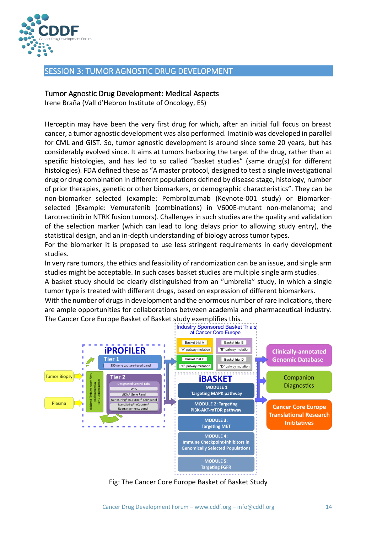

#### <span id="page-13-0"></span>SESSION 3: TUMOR AGNOSTIC DRUG DEVELOPMENT

#### <span id="page-13-1"></span>Tumor Agnostic Drug Development: Medical Aspects

Irene Braña (Vall d'Hebron Institute of Oncology, ES)

Herceptin may have been the very first drug for which, after an initial full focus on breast cancer, a tumor agnostic development was also performed. Imatinib was developed in parallel for CML and GIST. So, tumor agnostic development is around since some 20 years, but has considerably evolved since. It aims at tumors harboring the target of the drug, rather than at specific histologies, and has led to so called "basket studies" (same drug(s) for different histologies). FDA defined these as "A master protocol, designed to test a single investigational drug or drug combination in different populations defined by disease stage, histology, number of prior therapies, genetic or other biomarkers, or demographic characteristics". They can be non-biomarker selected (example: Pembrolizumab (Keynote-001 study) or Biomarkerselected (Example: Vemurafenib (combinations) in V600E-mutant non-melanoma; and Larotrectinib in NTRK fusion tumors). Challenges in such studies are the quality and validation of the selection marker (which can lead to long delays prior to allowing study entry), the statistical design, and an in-depth understanding of biology across tumor types.

For the biomarker it is proposed to use less stringent requirements in early development studies.

In very rare tumors, the ethics and feasibility of randomization can be an issue, and single arm studies might be acceptable. In such cases basket studies are multiple single arm studies.

A basket study should be clearly distinguished from an "umbrella" study, in which a single tumor type is treated with different drugs, based on expression of different biomarkers.

With the number of drugs in development and the enormous number of rare indications, there are ample opportunities for collaborations between academia and pharmaceutical industry. The Cancer Core Europe Basket of Basket study exemplifies this.



Fig: The Cancer Core Europe Basket of Basket Study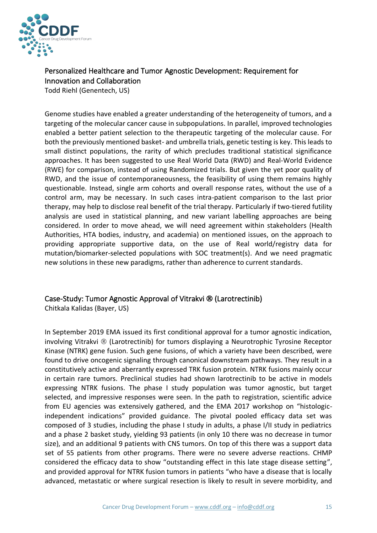

## <span id="page-14-0"></span>Personalized Healthcare and Tumor Agnostic Development: Requirement for Innovation and Collaboration

Todd Riehl (Genentech, US)

Genome studies have enabled a greater understanding of the heterogeneity of tumors, and a targeting of the molecular cancer cause in subpopulations. In parallel, improved technologies enabled a better patient selection to the therapeutic targeting of the molecular cause. For both the previously mentioned basket- and umbrella trials, genetic testing is key. This leads to small distinct populations, the rarity of which precludes traditional statistical significance approaches. It has been suggested to use Real World Data (RWD) and Real-World Evidence (RWE) for comparison, instead of using Randomized trials. But given the yet poor quality of RWD, and the issue of contemporaneousness, the feasibility of using them remains highly questionable. Instead, single arm cohorts and overall response rates, without the use of a control arm, may be necessary. In such cases intra-patient comparison to the last prior therapy, may help to disclose real benefit of the trial therapy. Particularly if two-tiered futility analysis are used in statistical planning, and new variant labelling approaches are being considered. In order to move ahead, we will need agreement within stakeholders (Health Authorities, HTA bodies, industry, and academia) on mentioned issues, on the approach to providing appropriate supportive data, on the use of Real world/registry data for mutation/biomarker-selected populations with SOC treatment(s). And we need pragmatic new solutions in these new paradigms, rather than adherence to current standards.

#### <span id="page-14-1"></span>Case-Study: Tumor Agnostic Approval of Vitrakvi ® (Larotrectinib)

Chitkala Kalidas (Bayer, US)

In September 2019 EMA issued its first conditional approval for a tumor agnostic indication, involving Vitrakvi ® (Larotrectinib) for tumors displaying a Neurotrophic Tyrosine Receptor Kinase (NTRK) gene fusion. Such gene fusions, of which a variety have been described, were found to drive oncogenic signaling through canonical downstream pathways. They result in a constitutively active and aberrantly expressed TRK fusion protein. NTRK fusions mainly occur in certain rare tumors. Preclinical studies had shown larotrectinib to be active in models expressing NTRK fusions. The phase I study population was tumor agnostic, but target selected, and impressive responses were seen. In the path to registration, scientific advice from EU agencies was extensively gathered, and the EMA 2017 workshop on "histologicindependent indications" provided guidance. The pivotal pooled efficacy data set was composed of 3 studies, including the phase I study in adults, a phase I/II study in pediatrics and a phase 2 basket study, yielding 93 patients (in only 10 there was no decrease in tumor size), and an additional 9 patients with CNS tumors. On top of this there was a support data set of 55 patients from other programs. There were no severe adverse reactions. CHMP considered the efficacy data to show "outstanding effect in this late stage disease setting", and provided approval for NTRK fusion tumors in patients "who have a disease that is locally advanced, metastatic or where surgical resection is likely to result in severe morbidity, and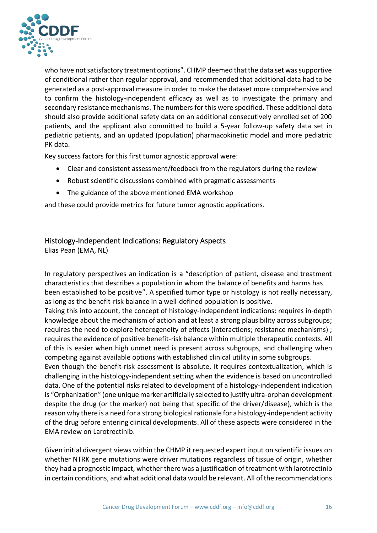

who have not satisfactory treatment options". CHMP deemed that the data set was supportive of conditional rather than regular approval, and recommended that additional data had to be generated as a post-approval measure in order to make the dataset more comprehensive and to confirm the histology-independent efficacy as well as to investigate the primary and secondary resistance mechanisms. The numbers for this were specified. These additional data should also provide additional safety data on an additional consecutively enrolled set of 200 patients, and the applicant also committed to build a 5-year follow-up safety data set in pediatric patients, and an updated (population) pharmacokinetic model and more pediatric PK data.

Key success factors for this first tumor agnostic approval were:

- Clear and consistent assessment/feedback from the regulators during the review
- Robust scientific discussions combined with pragmatic assessments
- The guidance of the above mentioned EMA workshop

and these could provide metrics for future tumor agnostic applications.

#### <span id="page-15-0"></span>Histology-Independent Indications: Regulatory Aspects

Elias Pean (EMA, NL)

In regulatory perspectives an indication is a "description of patient, disease and treatment characteristics that describes a population in whom the balance of benefits and harms has been established to be positive". A specified tumor type or histology is not really necessary, as long as the benefit-risk balance in a well-defined population is positive.

Taking this into account, the concept of histology-independent indications: requires in-depth knowledge about the mechanism of action and at least a strong plausibility across subgroups; requires the need to explore heterogeneity of effects (interactions; resistance mechanisms) ; requires the evidence of positive benefit-risk balance within multiple therapeutic contexts. All of this is easier when high unmet need is present across subgroups, and challenging when competing against available options with established clinical utility in some subgroups.

Even though the benefit-risk assessment is absolute, it requires contextualization, which is challenging in the histology-independent setting when the evidence is based on uncontrolled data. One of the potential risks related to development of a histology-independent indication is "Orphanization" (one unique marker artificially selected to justify ultra-orphan development despite the drug (or the marker) not being that specific of the driver/disease), which is the reason why there is a need for a strong biological rationale for a histology-independent activity of the drug before entering clinical developments. All of these aspects were considered in the EMA review on Larotrectinib.

Given initial divergent views within the CHMP it requested expert input on scientific issues on whether NTRK gene mutations were driver mutations regardless of tissue of origin, whether they had a prognostic impact, whether there was a justification of treatment with larotrectinib in certain conditions, and what additional data would be relevant. All of the recommendations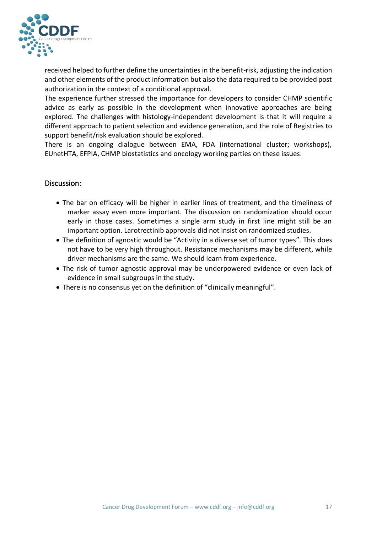

received helped to further define the uncertainties in the benefit-risk, adjusting the indication and other elements of the product information but also the data required to be provided post authorization in the context of a conditional approval.

The experience further stressed the importance for developers to consider CHMP scientific advice as early as possible in the development when innovative approaches are being explored. The challenges with histology-independent development is that it will require a different approach to patient selection and evidence generation, and the role of Registries to support benefit/risk evaluation should be explored.

There is an ongoing dialogue between EMA, FDA (international cluster; workshops), EUnetHTA, EFPIA, CHMP biostatistics and oncology working parties on these issues.

#### <span id="page-16-0"></span>Discussion:

- The bar on efficacy will be higher in earlier lines of treatment, and the timeliness of marker assay even more important. The discussion on randomization should occur early in those cases. Sometimes a single arm study in first line might still be an important option. Larotrectinib approvals did not insist on randomized studies.
- The definition of agnostic would be "Activity in a diverse set of tumor types". This does not have to be very high throughout. Resistance mechanisms may be different, while driver mechanisms are the same. We should learn from experience.
- The risk of tumor agnostic approval may be underpowered evidence or even lack of evidence in small subgroups in the study.
- There is no consensus yet on the definition of "clinically meaningful".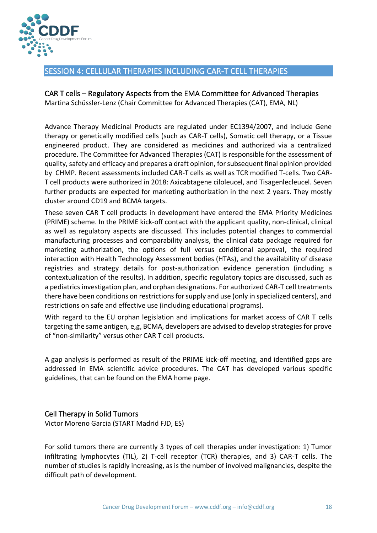

#### <span id="page-17-0"></span>SESSION 4: CELLULAR THERAPIES INCLUDING CAR-T CELL THERAPIES

<span id="page-17-1"></span>CAR T cells – Regulatory Aspects from the EMA Committee for Advanced Therapies Martina Schüssler-Lenz (Chair Committee for Advanced Therapies (CAT), EMA, NL)

Advance Therapy Medicinal Products are regulated under EC1394/2007, and include Gene therapy or genetically modified cells (such as CAR-T cells), Somatic cell therapy, or a Tissue engineered product. They are considered as medicines and authorized via a centralized procedure. The Committee for Advanced Therapies (CAT) is responsible for the assessment of quality, safety and efficacy and prepares a draft opinion, for subsequent final opinion provided by CHMP. Recent assessments included CAR-T cells as well as TCR modified T-cells. Two CAR-T cell products were authorized in 2018: Axicabtagene ciloleucel, and Tisagenlecleucel. Seven further products are expected for marketing authorization in the next 2 years. They mostly cluster around CD19 and BCMA targets.

These seven CAR T cell products in development have entered the EMA Priority Medicines (PRIME) scheme. In the PRIME kick-off contact with the applicant quality, non-clinical, clinical as well as regulatory aspects are discussed. This includes potential changes to commercial manufacturing processes and comparability analysis, the clinical data package required for marketing authorization, the options of full versus conditional approval, the required interaction with Health Technology Assessment bodies (HTAs), and the availability of disease registries and strategy details for post-authorization evidence generation (including a contextualization of the results). In addition, specific regulatory topics are discussed, such as a pediatrics investigation plan, and orphan designations. For authorized CAR-T cell treatments there have been conditions on restrictions for supply and use (only in specialized centers), and restrictions on safe and effective use (including educational programs).

With regard to the EU orphan legislation and implications for market access of CAR T cells targeting the same antigen, e,g, BCMA, developers are advised to develop strategies for prove of "non-similarity" versus other CAR T cell products.

A gap analysis is performed as result of the PRIME kick-off meeting, and identified gaps are addressed in EMA scientific advice procedures. The CAT has developed various specific guidelines, that can be found on the EMA home page.

#### <span id="page-17-2"></span>Cell Therapy in Solid Tumors

Victor Moreno Garcia (START Madrid FJD, ES)

For solid tumors there are currently 3 types of cell therapies under investigation: 1) Tumor infiltrating lymphocytes (TIL), 2) T-cell receptor (TCR) therapies, and 3) CAR-T cells. The number of studies is rapidly increasing, as is the number of involved malignancies, despite the difficult path of development.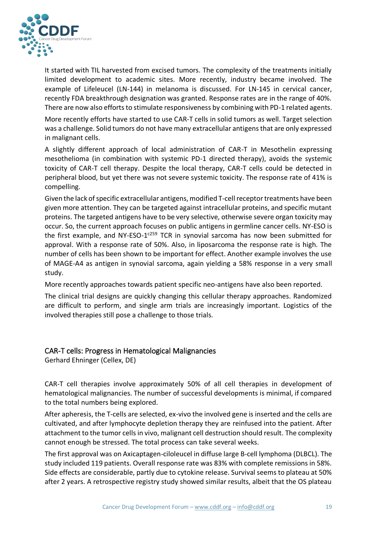

It started with TIL harvested from excised tumors. The complexity of the treatments initially limited development to academic sites. More recently, industry became involved. The example of Lifeleucel (LN-144) in melanoma is discussed. For LN-145 in cervical cancer, recently FDA breakthrough designation was granted. Response rates are in the range of 40%. There are now also efforts to stimulate responsiveness by combining with PD-1 related agents.

More recently efforts have started to use CAR-T cells in solid tumors as well. Target selection was a challenge. Solid tumors do not have many extracellular antigens that are only expressed in malignant cells.

A slightly different approach of local administration of CAR-T in Mesothelin expressing mesothelioma (in combination with systemic PD-1 directed therapy), avoids the systemic toxicity of CAR-T cell therapy. Despite the local therapy, CAR-T cells could be detected in peripheral blood, but yet there was not severe systemic toxicity. The response rate of 41% is compelling.

Given the lack of specific extracellular antigens, modified T-cell receptor treatments have been given more attention. They can be targeted against intracellular proteins, and specific mutant proteins. The targeted antigens have to be very selective, otherwise severe organ toxicity may occur. So, the current approach focuses on public antigens in germline cancer cells. NY-ESO is the first example, and NY-ESO-1<sup>c259</sup> TCR in synovial sarcoma has now been submitted for approval. With a response rate of 50%. Also, in liposarcoma the response rate is high. The number of cells has been shown to be important for effect. Another example involves the use of MAGE-A4 as antigen in synovial sarcoma, again yielding a 58% response in a very small study.

More recently approaches towards patient specific neo-antigens have also been reported.

The clinical trial designs are quickly changing this cellular therapy approaches. Randomized are difficult to perform, and single arm trials are increasingly important. Logistics of the involved therapies still pose a challenge to those trials.

#### <span id="page-18-0"></span>CAR-T cells: Progress in Hematological Malignancies

Gerhard Ehninger (Cellex, DE)

CAR-T cell therapies involve approximately 50% of all cell therapies in development of hematological malignancies. The number of successful developments is minimal, if compared to the total numbers being explored.

After apheresis, the T-cells are selected, ex-vivo the involved gene is inserted and the cells are cultivated, and after lymphocyte depletion therapy they are reinfused into the patient. After attachment to the tumor cells in vivo, malignant cell destruction should result. The complexity cannot enough be stressed. The total process can take several weeks.

The first approval was on Axicaptagen-ciloleucel in diffuse large B-cell lymphoma (DLBCL). The study included 119 patients. Overall response rate was 83% with complete remissions in 58%. Side effects are considerable, partly due to cytokine release. Survival seems to plateau at 50% after 2 years. A retrospective registry study showed similar results, albeit that the OS plateau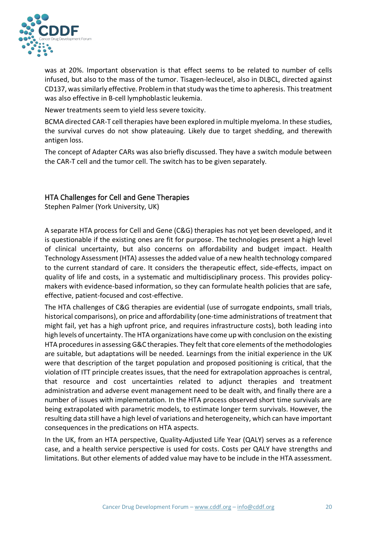

was at 20%. Important observation is that effect seems to be related to number of cells infused, but also to the mass of the tumor. Tisagen-lecleucel, also in DLBCL, directed against CD137, was similarly effective. Problem in that study was the time to apheresis. This treatment was also effective in B-cell lymphoblastic leukemia.

Newer treatments seem to yield less severe toxicity.

BCMA directed CAR-T cell therapies have been explored in multiple myeloma. In these studies, the survival curves do not show plateauing. Likely due to target shedding, and therewith antigen loss.

The concept of Adapter CARs was also briefly discussed. They have a switch module between the CAR-T cell and the tumor cell. The switch has to be given separately.

#### <span id="page-19-0"></span>HTA Challenges for Cell and Gene Therapies

Stephen Palmer (York University, UK)

A separate HTA process for Cell and Gene (C&G) therapies has not yet been developed, and it is questionable if the existing ones are fit for purpose. The technologies present a high level of clinical uncertainty, but also concerns on affordability and budget impact. Health Technology Assessment (HTA) assesses the added value of a new health technology compared to the current standard of care. It considers the therapeutic effect, side-effects, impact on quality of life and costs, in a systematic and multidisciplinary process. This provides policymakers with evidence-based information, so they can formulate health policies that are safe, effective, patient-focused and cost-effective.

The HTA challenges of C&G therapies are evidential (use of surrogate endpoints, small trials, historical comparisons), on price and affordability (one-time administrations of treatment that might fail, yet has a high upfront price, and requires infrastructure costs), both leading into high levels of uncertainty. The HTA organizations have come up with conclusion on the existing HTA procedures in assessing G&C therapies. They felt that core elements of the methodologies are suitable, but adaptations will be needed. Learnings from the initial experience in the UK were that description of the target population and proposed positioning is critical, that the violation of ITT principle creates issues, that the need for extrapolation approaches is central, that resource and cost uncertainties related to adjunct therapies and treatment administration and adverse event management need to be dealt with, and finally there are a number of issues with implementation. In the HTA process observed short time survivals are being extrapolated with parametric models, to estimate longer term survivals. However, the resulting data still have a high level of variations and heterogeneity, which can have important consequences in the predications on HTA aspects.

In the UK, from an HTA perspective, Quality-Adjusted Life Year (QALY) serves as a reference case, and a health service perspective is used for costs. Costs per QALY have strengths and limitations. But other elements of added value may have to be include in the HTA assessment.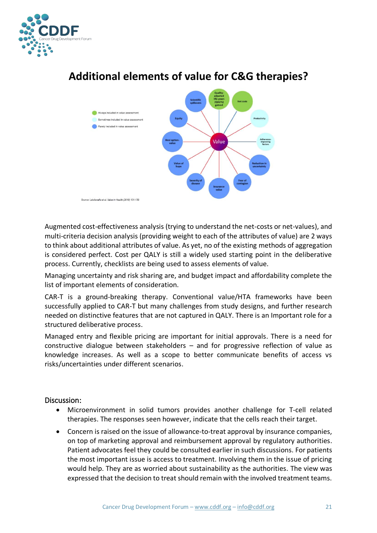



# **Additional elements of value for C&G therapies?**

Augmented cost-effectiveness analysis (trying to understand the net-costs or net-values), and multi-criteria decision analysis (providing weight to each of the attributes of value) are 2 ways to think about additional attributes of value. As yet, no of the existing methods of aggregation is considered perfect. Cost per QALY is still a widely used starting point in the deliberative process. Currently, checklists are being used to assess elements of value.

Managing uncertainty and risk sharing are, and budget impact and affordability complete the list of important elements of consideration.

CAR-T is a ground-breaking therapy. Conventional value/HTA frameworks have been successfully applied to CAR-T but many challenges from study designs, and further research needed on distinctive features that are not captured in QALY. There is an Important role for a structured deliberative process.

Managed entry and flexible pricing are important for initial approvals. There is a need for constructive dialogue between stakeholders – and for progressive reflection of value as knowledge increases. As well as a scope to better communicate benefits of access vs risks/uncertainties under different scenarios.

#### <span id="page-20-0"></span>Discussion:

- Microenvironment in solid tumors provides another challenge for T-cell related therapies. The responses seen however, indicate that the cells reach their target.
- Concern is raised on the issue of allowance-to-treat approval by insurance companies, on top of marketing approval and reimbursement approval by regulatory authorities. Patient advocates feel they could be consulted earlier in such discussions. For patients the most important issue is access to treatment. Involving them in the issue of pricing would help. They are as worried about sustainability as the authorities. The view was expressed that the decision to treat should remain with the involved treatment teams.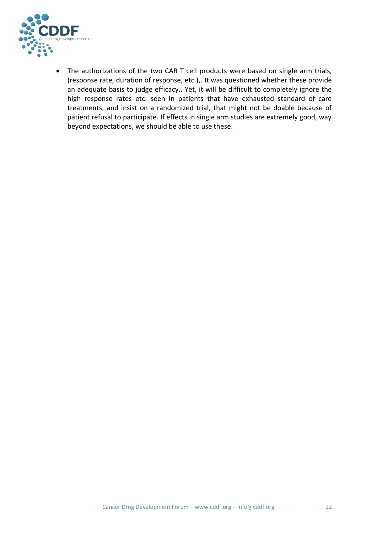

• The authorizations of the two CAR T cell products were based on single arm trials, (response rate, duration of response, etc.),. It was questioned whether these provide an adequate basis to judge efficacy.. Yet, it will be difficult to completely ignore the high response rates etc. seen in patients that have exhausted standard of care treatments, and insist on a randomized trial, that might not be doable because of patient refusal to participate. If effects in single arm studies are extremely good, way beyond expectations, we should be able to use these.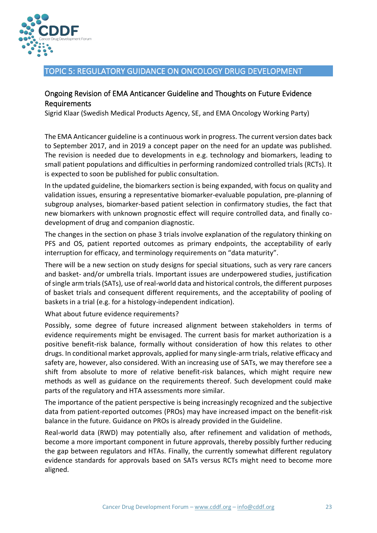

#### <span id="page-22-0"></span>TOPIC 5: REGULATORY GUIDANCE ON ONCOLOGY DRUG DEVELOPMENT

#### Ongoing Revision of EMA Anticancer Guideline and Thoughts on Future Evidence Requirements

Sigrid Klaar (Swedish Medical Products Agency, SE, and EMA Oncology Working Party)

The EMA Anticancer guideline is a continuous work in progress. The current version dates back to September 2017, and in 2019 a concept paper on the need for an update was published. The revision is needed due to developments in e.g. technology and biomarkers, leading to small patient populations and difficulties in performing randomized controlled trials (RCTs). It is expected to soon be published for public consultation.

In the updated guideline, the biomarkers section is being expanded, with focus on quality and validation issues, ensuring a representative biomarker-evaluable population, pre-planning of subgroup analyses, biomarker-based patient selection in confirmatory studies, the fact that new biomarkers with unknown prognostic effect will require controlled data, and finally codevelopment of drug and companion diagnostic.

The changes in the section on phase 3 trials involve explanation of the regulatory thinking on PFS and OS, patient reported outcomes as primary endpoints, the acceptability of early interruption for efficacy, and terminology requirements on "data maturity".

There will be a new section on study designs for special situations, such as very rare cancers and basket- and/or umbrella trials. Important issues are underpowered studies, justification of single arm trials (SATs), use of real-world data and historical controls, the different purposes of basket trials and consequent different requirements, and the acceptability of pooling of baskets in a trial (e.g. for a histology-independent indication).

What about future evidence requirements?

Possibly, some degree of future increased alignment between stakeholders in terms of evidence requirements might be envisaged. The current basis for market authorization is a positive benefit-risk balance, formally without consideration of how this relates to other drugs. In conditional market approvals, applied for many single-arm trials, relative efficacy and safety are, however, also considered. With an increasing use of SATs, we may therefore see a shift from absolute to more of relative benefit-risk balances, which might require new methods as well as guidance on the requirements thereof. Such development could make parts of the regulatory and HTA assessments more similar.

The importance of the patient perspective is being increasingly recognized and the subjective data from patient-reported outcomes (PROs) may have increased impact on the benefit-risk balance in the future. Guidance on PROs is already provided in the Guideline.

Real-world data (RWD) may potentially also, after refinement and validation of methods, become a more important component in future approvals, thereby possibly further reducing the gap between regulators and HTAs. Finally, the currently somewhat different regulatory evidence standards for approvals based on SATs versus RCTs might need to become more aligned.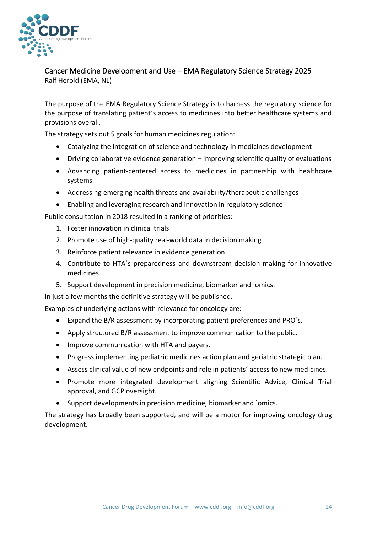

<span id="page-23-0"></span>Cancer Medicine Development and Use – EMA Regulatory Science Strategy 2025 Ralf Herold (EMA, NL)

The purpose of the EMA Regulatory Science Strategy is to harness the regulatory science for the purpose of translating patient´s access to medicines into better healthcare systems and provisions overall.

The strategy sets out 5 goals for human medicines regulation:

- Catalyzing the integration of science and technology in medicines development
- Driving collaborative evidence generation improving scientific quality of evaluations
- Advancing patient-centered access to medicines in partnership with healthcare systems
- Addressing emerging health threats and availability/therapeutic challenges
- Enabling and leveraging research and innovation in regulatory science

Public consultation in 2018 resulted in a ranking of priorities:

- 1. Foster innovation in clinical trials
- 2. Promote use of high-quality real-world data in decision making
- 3. Reinforce patient relevance in evidence generation
- 4. Contribute to HTA´s preparedness and downstream decision making for innovative medicines
- 5. Support development in precision medicine, biomarker and `omics.

In just a few months the definitive strategy will be published.

Examples of underlying actions with relevance for oncology are:

- Expand the B/R assessment by incorporating patient preferences and PRO´s.
- Apply structured B/R assessment to improve communication to the public.
- Improve communication with HTA and payers.
- Progress implementing pediatric medicines action plan and geriatric strategic plan.
- Assess clinical value of new endpoints and role in patients´ access to new medicines.
- Promote more integrated development aligning Scientific Advice, Clinical Trial approval, and GCP oversight.
- Support developments in precision medicine, biomarker and `omics.

The strategy has broadly been supported, and will be a motor for improving oncology drug development.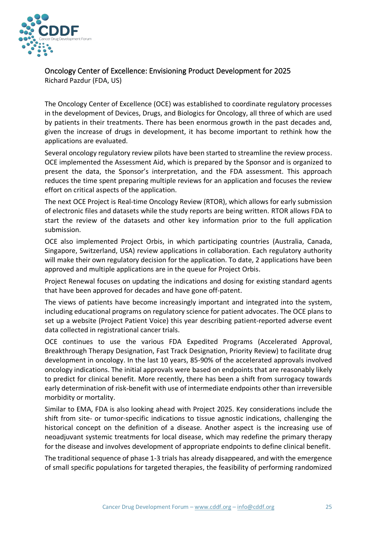

<span id="page-24-0"></span>Oncology Center of Excellence: Envisioning Product Development for 2025 Richard Pazdur (FDA, US)

The Oncology Center of Excellence (OCE) was established to coordinate regulatory processes in the development of Devices, Drugs, and Biologics for Oncology, all three of which are used by patients in their treatments. There has been enormous growth in the past decades and, given the increase of drugs in development, it has become important to rethink how the applications are evaluated.

Several oncology regulatory review pilots have been started to streamline the review process. OCE implemented the Assessment Aid, which is prepared by the Sponsor and is organized to present the data, the Sponsor's interpretation, and the FDA assessment. This approach reduces the time spent preparing multiple reviews for an application and focuses the review effort on critical aspects of the application.

The next OCE Project is Real-time Oncology Review (RTOR), which allows for early submission of electronic files and datasets while the study reports are being written. RTOR allows FDA to start the review of the datasets and other key information prior to the full application submission.

OCE also implemented Project Orbis, in which participating countries (Australia, Canada, Singapore, Switzerland, USA) review applications in collaboration. Each regulatory authority will make their own regulatory decision for the application. To date, 2 applications have been approved and multiple applications are in the queue for Project Orbis.

Project Renewal focuses on updating the indications and dosing for existing standard agents that have been approved for decades and have gone off-patent.

The views of patients have become increasingly important and integrated into the system, including educational programs on regulatory science for patient advocates. The OCE plans to set up a website (Project Patient Voice) this year describing patient-reported adverse event data collected in registrational cancer trials.

OCE continues to use the various FDA Expedited Programs (Accelerated Approval, Breakthrough Therapy Designation, Fast Track Designation, Priority Review) to facilitate drug development in oncology. In the last 10 years, 85-90% of the accelerated approvals involved oncology indications. The initial approvals were based on endpoints that are reasonably likely to predict for clinical benefit. More recently, there has been a shift from surrogacy towards early determination of risk-benefit with use of intermediate endpoints other than irreversible morbidity or mortality.

Similar to EMA, FDA is also looking ahead with Project 2025. Key considerations include the shift from site- or tumor-specific indications to tissue agnostic indications, challenging the historical concept on the definition of a disease. Another aspect is the increasing use of neoadjuvant systemic treatments for local disease, which may redefine the primary therapy for the disease and involves development of appropriate endpoints to define clinical benefit.

The traditional sequence of phase 1-3 trials has already disappeared, and with the emergence of small specific populations for targeted therapies, the feasibility of performing randomized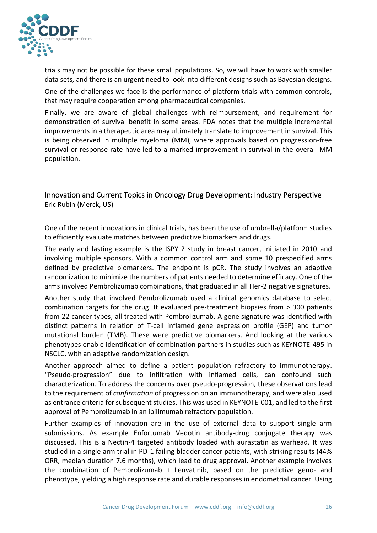

trials may not be possible for these small populations. So, we will have to work with smaller data sets, and there is an urgent need to look into different designs such as Bayesian designs.

One of the challenges we face is the performance of platform trials with common controls, that may require cooperation among pharmaceutical companies.

Finally, we are aware of global challenges with reimbursement, and requirement for demonstration of survival benefit in some areas. FDA notes that the multiple incremental improvements in a therapeutic area may ultimately translate to improvement in survival. This is being observed in multiple myeloma (MM), where approvals based on progression-free survival or response rate have led to a marked improvement in survival in the overall MM population.

#### <span id="page-25-0"></span>Innovation and Current Topics in Oncology Drug Development: Industry Perspective Eric Rubin (Merck, US)

One of the recent innovations in clinical trials, has been the use of umbrella/platform studies to efficiently evaluate matches between predictive biomarkers and drugs.

The early and lasting example is the ISPY 2 study in breast cancer, initiated in 2010 and involving multiple sponsors. With a common control arm and some 10 prespecified arms defined by predictive biomarkers. The endpoint is pCR. The study involves an adaptive randomization to minimize the numbers of patients needed to determine efficacy. One of the arms involved Pembrolizumab combinations, that graduated in all Her-2 negative signatures.

Another study that involved Pembrolizumab used a clinical genomics database to select combination targets for the drug. It evaluated pre-treatment biopsies from > 300 patients from 22 cancer types, all treated with Pembrolizumab. A gene signature was identified with distinct patterns in relation of T-cell inflamed gene expression profile (GEP) and tumor mutational burden (TMB). These were predictive biomarkers. And looking at the various phenotypes enable identification of combination partners in studies such as KEYNOTE-495 in NSCLC, with an adaptive randomization design.

Another approach aimed to define a patient population refractory to immunotherapy. "Pseudo-progression" due to infiltration with inflamed cells, can confound such characterization. To address the concerns over pseudo-progression, these observations lead to the requirement of *confirmation* of progression on an immunotherapy, and were also used as entrance criteria for subsequent studies. This was used in KEYNOTE-001, and led to the first approval of Pembrolizumab in an ipilimumab refractory population.

Further examples of innovation are in the use of external data to support single arm submissions. As example Enfortumab Vedotin antibody-drug conjugate therapy was discussed. This is a Nectin-4 targeted antibody loaded with aurastatin as warhead. It was studied in a single arm trial in PD-1 failing bladder cancer patients, with striking results (44% ORR, median duration 7.6 months), which lead to drug approval. Another example involves the combination of Pembrolizumab + Lenvatinib, based on the predictive geno- and phenotype, yielding a high response rate and durable responses in endometrial cancer. Using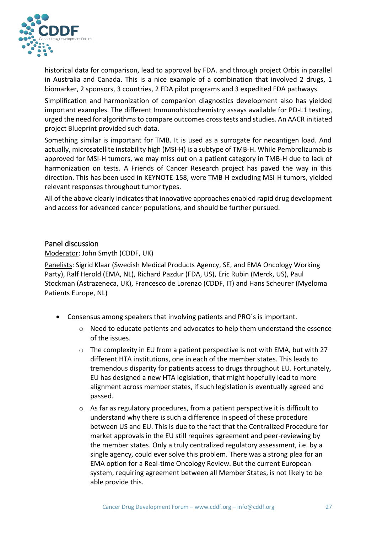

historical data for comparison, lead to approval by FDA. and through project Orbis in parallel in Australia and Canada. This is a nice example of a combination that involved 2 drugs, 1 biomarker, 2 sponsors, 3 countries, 2 FDA pilot programs and 3 expedited FDA pathways.

Simplification and harmonization of companion diagnostics development also has yielded important examples. The different Immunohistochemistry assays available for PD-L1 testing, urged the need for algorithms to compare outcomes cross tests and studies. An AACR initiated project Blueprint provided such data.

Something similar is important for TMB. It is used as a surrogate for neoantigen load. And actually, microsatellite instability high (MSI-H) is a subtype of TMB-H. While Pembrolizumab is approved for MSI-H tumors, we may miss out on a patient category in TMB-H due to lack of harmonization on tests. A Friends of Cancer Research project has paved the way in this direction. This has been used in KEYNOTE-158, were TMB-H excluding MSI-H tumors, yielded relevant responses throughout tumor types.

All of the above clearly indicates that innovative approaches enabled rapid drug development and access for advanced cancer populations, and should be further pursued.

#### <span id="page-26-0"></span>Panel discussion

Moderator: John Smyth (CDDF, UK)

Panelists: Sigrid Klaar (Swedish Medical Products Agency, SE, and EMA Oncology Working Party), Ralf Herold (EMA, NL), Richard Pazdur (FDA, US), Eric Rubin (Merck, US), Paul Stockman (Astrazeneca, UK), Francesco de Lorenzo (CDDF, IT) and Hans Scheurer (Myeloma Patients Europe, NL)

- Consensus among speakers that involving patients and PRO´s is important.
	- o Need to educate patients and advocates to help them understand the essence of the issues.
	- $\circ$  The complexity in EU from a patient perspective is not with EMA, but with 27 different HTA institutions, one in each of the member states. This leads to tremendous disparity for patients access to drugs throughout EU. Fortunately, EU has designed a new HTA legislation, that might hopefully lead to more alignment across member states, if such legislation is eventually agreed and passed.
	- $\circ$  As far as regulatory procedures, from a patient perspective it is difficult to understand why there is such a difference in speed of these procedure between US and EU. This is due to the fact that the Centralized Procedure for market approvals in the EU still requires agreement and peer-reviewing by the member states. Only a truly centralized regulatory assessment, i.e. by a single agency, could ever solve this problem. There was a strong plea for an EMA option for a Real-time Oncology Review. But the current European system, requiring agreement between all Member States, is not likely to be able provide this.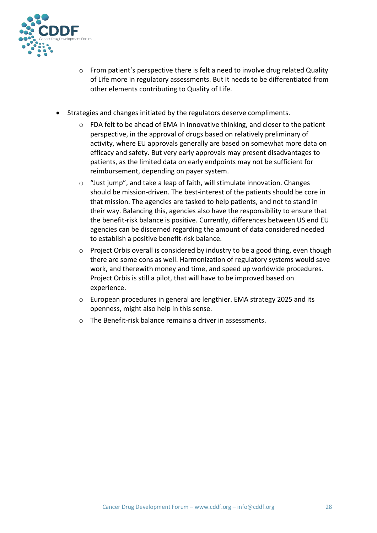

- o From patient's perspective there is felt a need to involve drug related Quality of Life more in regulatory assessments. But it needs to be differentiated from other elements contributing to Quality of Life.
- Strategies and changes initiated by the regulators deserve compliments.
	- $\circ$  FDA felt to be ahead of EMA in innovative thinking, and closer to the patient perspective, in the approval of drugs based on relatively preliminary of activity, where EU approvals generally are based on somewhat more data on efficacy and safety. But very early approvals may present disadvantages to patients, as the limited data on early endpoints may not be sufficient for reimbursement, depending on payer system.
	- o "Just jump", and take a leap of faith, will stimulate innovation. Changes should be mission-driven. The best-interest of the patients should be core in that mission. The agencies are tasked to help patients, and not to stand in their way. Balancing this, agencies also have the responsibility to ensure that the benefit-risk balance is positive. Currently, differences between US end EU agencies can be discerned regarding the amount of data considered needed to establish a positive benefit-risk balance.
	- $\circ$  Project Orbis overall is considered by industry to be a good thing, even though there are some cons as well. Harmonization of regulatory systems would save work, and therewith money and time, and speed up worldwide procedures. Project Orbis is still a pilot, that will have to be improved based on experience.
	- o European procedures in general are lengthier. EMA strategy 2025 and its openness, might also help in this sense.
	- o The Benefit-risk balance remains a driver in assessments.